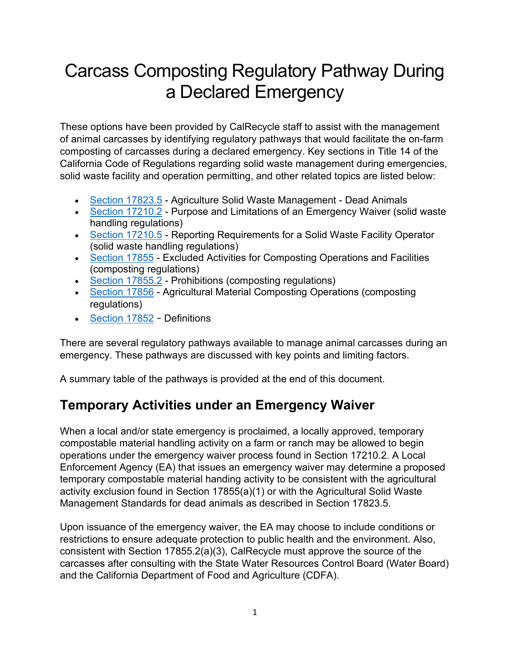# Carcass Composting Regulatory Pathway During a Declared Emergency

These options have been provided by CalRecycle staff to assist with the management of animal carcasses by identifying regulatory pathways that would facilitate the on-farm composting of carcasses during a declared emergency. Key sections in Title 14 of the California Code of Regulations regarding solid waste management during emergencies, solid waste facility and operation permitting, and other related topics are listed below:

- [Section 17823.5](https://casetext.com/regulation/california-code-of-regulations/title-14-natural-resources/division-7-department-of-resources-recycling-and-recovery/chapter-3-minimum-standards-for-solid-waste-handling-and-disposal/article-8-agricultural-solid-waste-management-standards/storage-handling-and-disposal/section-178235-dead-animals)  Agriculture Solid Waste Management Dead Animals
- [Section 17210.2](https://govt.westlaw.com/calregs/Document/I7964D5276F294E558C7BA2ABC68F0D06?viewType=FullText&originationContext=documenttoc&transitionType=DocumentItem&contextData=(sc.Default))  Purpose and Limitations of an Emergency Waiver (solid waste handling regulations)
- [Section 17210.5](https://govt.westlaw.com/calregs/Document/I21972DB7C5E146CEB844A77C25FD6842?viewType=FullText&listSource=Search&originationContext=Search+Result&transitionType=SearchItem&contextData=(sc.Search)&navigationPath=Search%2fv1%2fresults%2fnavigation%2fi0ad62d2e0000017a6383c19e90093cb0%3fppcid%3d94d0862fc14c48db99fb5caae366b007%26Nav%3dREGULATION_PUBLICVIEW%26fragmentIdentifier%3dI21972DB7C5E146CEB844A77C25FD6842%26startIndex%3d1%26transitionType%3dSearchItem%26contextData%3d%2528sc.Default%2529%26originationContext%3dSearch%2520Result&list=REGULATION_PUBLICVIEW&rank=1&t_T1=14&t_T2=17210.5&t_S1=CA+ADC+s)  Reporting Requirements for a Solid Waste Facility Operator (solid waste handling regulations)
- [Section 17855](https://govt.westlaw.com/calregs/Document/I7E8EC2542C4141848F0FED8BE16D6F79?viewType=FullText&listSource=Search&originationContext=Search+Result&transitionType=SearchItem&contextData=(sc.Search)&navigationPath=Search%2fv1%2fresults%2fnavigation%2fi0ad62d2e0000017a6384eb7490093cc2%3fppcid%3d8a1b0edd2a384a75aa2f9aa0cac17feb%26Nav%3dREGULATION_PUBLICVIEW%26fragmentIdentifier%3dI7E8EC2542C4141848F0FED8BE16D6F79%26startIndex%3d1%26transitionType%3dSearchItem%26contextData%3d%2528sc.Default%2529%26originationContext%3dSearch%2520Result&list=REGULATION_PUBLICVIEW&rank=1&t_T1=14&t_T2=17855&t_S1=CA+ADC+s)  Excluded Activities for Composting Operations and Facilities (composting regulations)
- [Section 17855.2](https://govt.westlaw.com/calregs/Document/I8C571A3F6C4E4B8980A28CB8B645E25C?viewType=FullText&listSource=Search&originationContext=Search+Result&transitionType=SearchItem&contextData=(sc.Search)&navigationPath=Search%2fv1%2fresults%2fnavigation%2fi0ad62d2e0000017a6384eb7490093cc2%3fppcid%3d8a1b0edd2a384a75aa2f9aa0cac17feb%26Nav%3dREGULATION_PUBLICVIEW%26fragmentIdentifier%3dI8C571A3F6C4E4B8980A28CB8B645E25C%26startIndex%3d1%26transitionType%3dSearchItem%26contextData%3d%2528sc.Default%2529%26originationContext%3dSearch%2520Result&list=REGULATION_PUBLICVIEW&rank=2&t_T1=14&t_T2=17855&t_S1=CA+ADC+s)  Prohibitions (composting regulations)
- [Section 17856](https://govt.westlaw.com/calregs/Document/ID07FD03E79054EF884865CFC70E8D3F8?viewType=FullText&listSource=Search&originationContext=Search+Result&transitionType=SearchItem&contextData=(sc.Search)&navigationPath=Search%2fv1%2fresults%2fnavigation%2fi0ad62d2c0000017a6387581f12d5a1bc%3fppcid%3d072b70032933440f97721d0b155a90cb%26Nav%3dREGULATION_PUBLICVIEW%26fragmentIdentifier%3dID07FD03E79054EF884865CFC70E8D3F8%26startIndex%3d1%26transitionType%3dSearchItem%26contextData%3d%2528sc.Default%2529%26originationContext%3dSearch%2520Result&list=REGULATION_PUBLICVIEW&rank=1&t_T1=14&t_T2=17856&t_S1=CA+ADC+s)  Agricultural Material Composting Operations (composting regulations)
- [Section](https://govt.westlaw.com/calregs/Document/I2735C56A57C94FB0BB2C821C37CA68B5?viewType=FullText&listSource=Search&originationContext=Search+Result&transitionType=SearchItem&contextData=(sc.Search)&navigationPath=Search%2fv1%2fresults%2fnavigation%2fi0ad62d2c0000017a837a853912d67006%3fppcid%3df757edd42e154432891ab826214ab283%26Nav%3dREGULATION_PUBLICVIEW%26fragmentIdentifier%3dI2735C56A57C94FB0BB2C821C37CA68B5%26startIndex%3d1%26transitionType%3dSearchItem%26contextData%3d%2528sc.Default%2529%26originationContext%3dSearch%2520Result&list=REGULATION_PUBLICVIEW&rank=1&t_T1=14&t_T2=17852&t_S1=CA+ADC+s) 17852 Definitions

There are several regulatory pathways available to manage animal carcasses during an emergency. These pathways are discussed with key points and limiting factors.

A summary table of the pathways is provided at the end of this document.

### **Temporary Activities under an Emergency Waiver**

When a local and/or state emergency is proclaimed, a locally approved, temporary compostable material handling activity on a farm or ranch may be allowed to begin operations under the emergency waiver process found in Section 17210.2. A Local Enforcement Agency (EA) that issues an emergency waiver may determine a proposed temporary compostable material handing activity to be consistent with the agricultural activity exclusion found in Section 17855(a)(1) or with the Agricultural Solid Waste Management Standards for dead animals as described in Section 17823.5.

Upon issuance of the emergency waiver, the EA may choose to include conditions or restrictions to ensure adequate protection to public health and the environment. Also, consistent with Section 17855.2(a)(3), CalRecycle must approve the source of the carcasses after consulting with the State Water Resources Control Board (Water Board) and the California Department of Food and Agriculture (CDFA).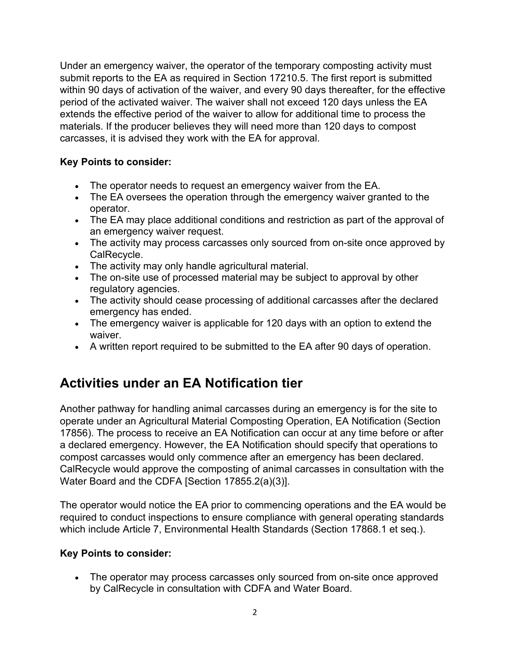Under an emergency waiver, the operator of the temporary composting activity must submit reports to the EA as required in Section 17210.5. The first report is submitted within 90 days of activation of the waiver, and every 90 days thereafter, for the effective period of the activated waiver. The waiver shall not exceed 120 days unless the EA extends the effective period of the waiver to allow for additional time to process the materials. If the producer believes they will need more than 120 days to compost carcasses, it is advised they work with the EA for approval.

#### **Key Points to consider:**

- The operator needs to request an emergency waiver from the EA.
- The EA oversees the operation through the emergency waiver granted to the operator.
- The EA may place additional conditions and restriction as part of the approval of an emergency waiver request.
- The activity may process carcasses only sourced from on-site once approved by CalRecycle.
- The activity may only handle agricultural material.
- The on-site use of processed material may be subject to approval by other regulatory agencies.
- The activity should cease processing of additional carcasses after the declared emergency has ended.
- The emergency waiver is applicable for 120 days with an option to extend the waiver.
- A written report required to be submitted to the EA after 90 days of operation.

### **Activities under an EA Notification tier**

Another pathway for handling animal carcasses during an emergency is for the site to operate under an Agricultural Material Composting Operation, EA Notification (Section 17856). The process to receive an EA Notification can occur at any time before or after a declared emergency. However, the EA Notification should specify that operations to compost carcasses would only commence after an emergency has been declared. CalRecycle would approve the composting of animal carcasses in consultation with the Water Board and the CDFA [Section 17855.2(a)(3)].

The operator would notice the EA prior to commencing operations and the EA would be required to conduct inspections to ensure compliance with general operating standards which include Article 7, Environmental Health Standards (Section 17868.1 et seq.).

#### **Key Points to consider:**

• The operator may process carcasses only sourced from on-site once approved by CalRecycle in consultation with CDFA and Water Board.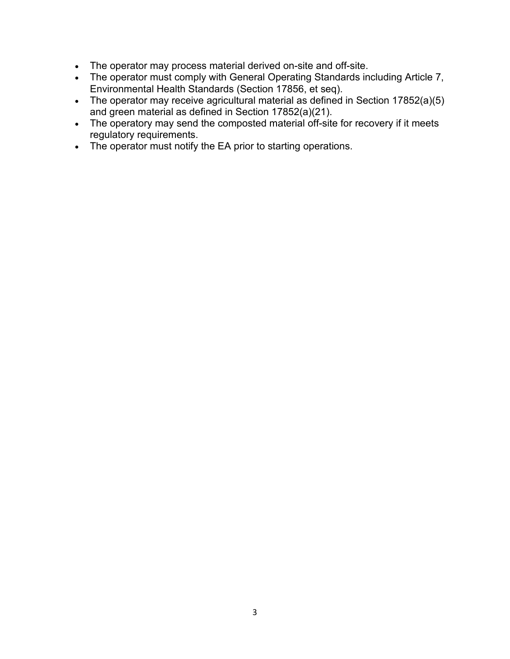- The operator may process material derived on-site and off-site.
- The operator must comply with General Operating Standards including Article 7, Environmental Health Standards (Section 17856, et seq).
- The operator may receive agricultural material as defined in Section 17852(a)(5) and green material as defined in Section 17852(a)(21).
- The operatory may send the composted material off-site for recovery if it meets regulatory requirements.
- The operator must notify the EA prior to starting operations.